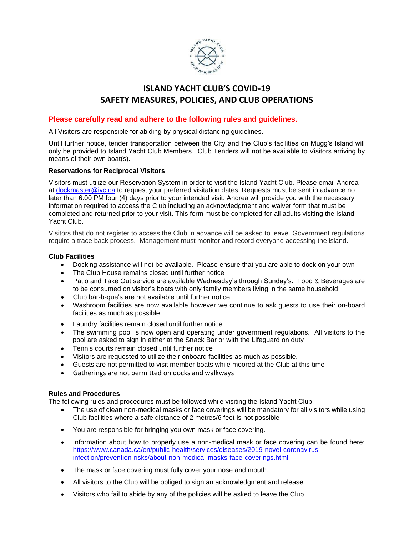

# **ISLAND YACHT CLUB'S COVID-19 SAFETY MEASURES, POLICIES, AND CLUB OPERATIONS**

## **Please carefully read and adhere to the following rules and guidelines.**

All Visitors are responsible for abiding by physical distancing guidelines.

Until further notice, tender transportation between the City and the Club's facilities on Mugg's Island will only be provided to Island Yacht Club Members. Club Tenders will not be available to Visitors arriving by means of their own boat(s).

#### **Reservations for Reciprocal Visitors**

Visitors must utilize our Reservation System in order to visit the Island Yacht Club. Please email Andrea at [dockmaster@iyc.ca](mailto:dockmaster@iyc.ca) to request your preferred visitation dates. Requests must be sent in advance no later than 6:00 PM four (4) days prior to your intended visit. Andrea will provide you with the necessary information required to access the Club including an acknowledgment and waiver form that must be completed and returned prior to your visit. This form must be completed for all adults visiting the Island Yacht Club.

Visitors that do not register to access the Club in advance will be asked to leave. Government regulations require a trace back process. Management must monitor and record everyone accessing the island.

#### **Club Facilities**

- Docking assistance will not be available. Please ensure that you are able to dock on your own
- The Club House remains closed until further notice
- Patio and Take Out service are available Wednesday's through Sunday's. Food & Beverages are to be consumed on visitor's boats with only family members living in the same household
- Club bar-b-que's are not available until further notice
- Washroom facilities are now available however we continue to ask guests to use their on-board facilities as much as possible.
- Laundry facilities remain closed until further notice
- The swimming pool is now open and operating under government regulations. All visitors to the pool are asked to sign in either at the Snack Bar or with the Lifeguard on duty
- Tennis courts remain closed until further notice
- Visitors are requested to utilize their onboard facilities as much as possible.
- Guests are not permitted to visit member boats while moored at the Club at this time
- Gatherings are not permitted on docks and walkways

#### **Rules and Procedures**

The following rules and procedures must be followed while visiting the Island Yacht Club.

- The use of clean non-medical masks or face coverings will be mandatory for all visitors while using Club facilities where a safe distance of 2 metres/6 feet is not possible
- You are responsible for bringing you own mask or face covering.
- Information about how to properly use a non-medical mask or face covering can be found here: [https://www.canada.ca/en/public-health/services/diseases/2019-novel-coronavirus](https://www.canada.ca/en/public-health/services/diseases/2019-novel-coronavirus-infection/prevention-risks/about-non-medical-masks-face-coverings.html)[infection/prevention-risks/about-non-medical-masks-face-coverings.html](https://www.canada.ca/en/public-health/services/diseases/2019-novel-coronavirus-infection/prevention-risks/about-non-medical-masks-face-coverings.html)
- The mask or face covering must fully cover your nose and mouth.
- All visitors to the Club will be obliged to sign an acknowledgment and release.
- Visitors who fail to abide by any of the policies will be asked to leave the Club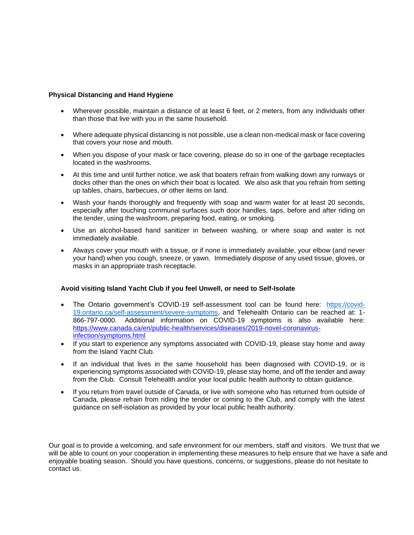### **Physical Distancing and Hand Hygiene**

- Wherever possible, maintain a distance of at least 6 feet, or 2 meters, from any individuals other than those that live with you in the same household.
- Where adequate physical distancing is not possible, use a clean non-medical mask or face covering that covers your nose and mouth.
- When you dispose of your mask or face covering, please do so in one of the garbage receptacles located in the washrooms.
- At this time and until further notice, we ask that boaters refrain from walking down any runways or docks other than the ones on which their boat is located. We also ask that you refrain from setting up tables, chairs, barbecues, or other items on land.
- Wash your hands thoroughly and frequently with soap and warm water for at least 20 seconds, especially after touching communal surfaces such door handles, taps, before and after riding on the tender, using the washroom, preparing food, eating, or smoking.
- Use an alcohol-based hand sanitizer in between washing, or where soap and water is not immediately available.
- Always cover your mouth with a tissue, or if none is immediately available, your elbow (and never your hand) when you cough, sneeze, or yawn. Immediately dispose of any used tissue, gloves, or masks in an appropriate trash receptacle.

#### **Avoid visiting Island Yacht Club if you feel Unwell, or need to Self-Isolate**

- The Ontario government's COVID-19 self-assessment tool can be found here: [https://covid-](https://covid-19.ontario.ca/self-assessment/severe-symptoms)[19.ontario.ca/self-assessment/severe-symptoms,](https://covid-19.ontario.ca/self-assessment/severe-symptoms) and Telehealth Ontario can be reached at: 1- 866-797-0000. Additional information on COVID-19 symptoms is also available here: [https://www.canada.ca/en/public-health/services/diseases/2019-novel-coronavirus](https://www.canada.ca/en/public-health/services/diseases/2019-novel-coronavirus-infection/symptoms.html)[infection/symptoms.html](https://www.canada.ca/en/public-health/services/diseases/2019-novel-coronavirus-infection/symptoms.html)
- If you start to experience any symptoms associated with COVID-19, please stay home and away from the Island Yacht Club.
- If an individual that lives in the same household has been diagnosed with COVID-19, or is experiencing symptoms associated with COVID-19, please stay home, and off the tender and away from the Club. Consult Telehealth and/or your local public health authority to obtain guidance.
- If you return from travel outside of Canada, or live with someone who has returned from outside of Canada, please refrain from riding the tender or coming to the Club, and comply with the latest guidance on self-isolation as provided by your local public health authority.

Our goal is to provide a welcoming, and safe environment for our members, staff and visitors. We trust that we will be able to count on your cooperation in implementing these measures to help ensure that we have a safe and enjoyable boating season. Should you have questions, concerns, or suggestions, please do not hesitate to contact us.